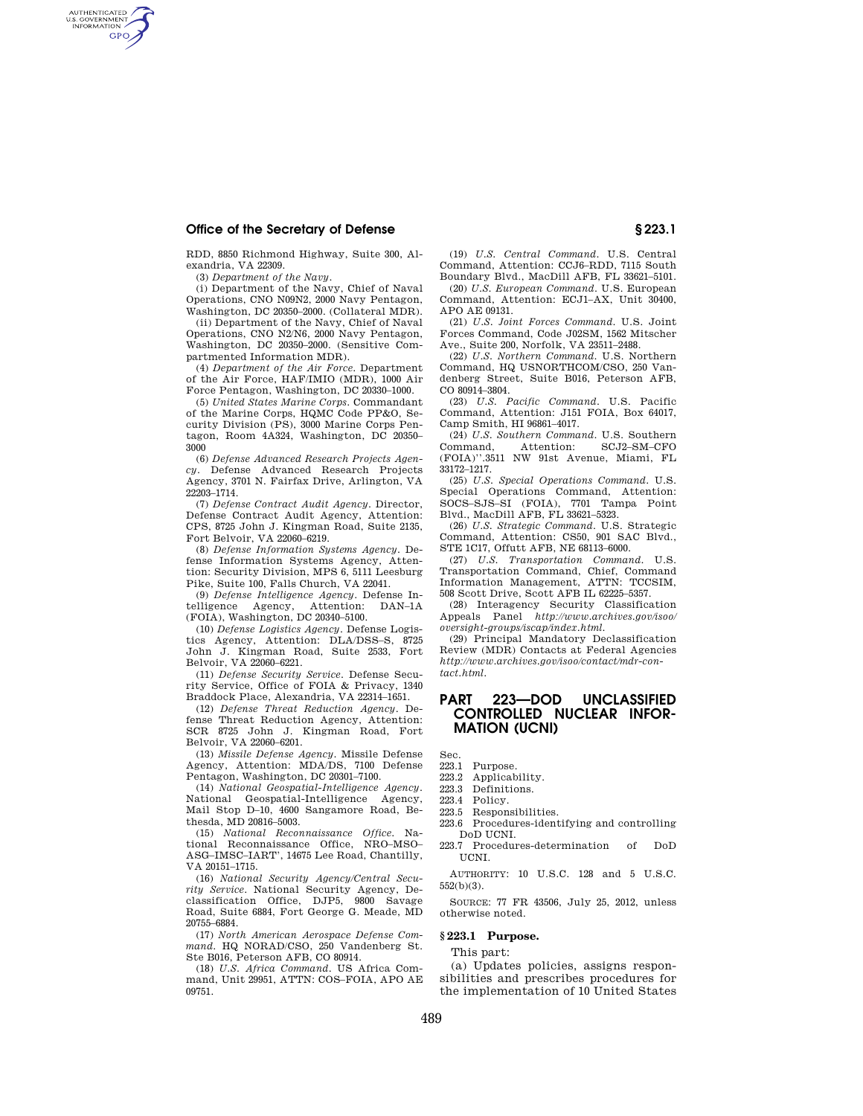RDD, 8850 Richmond Highway, Suite 300, Alexandria, VA 22309.

(3) *Department of the Navy.* 

AUTHENTICATED<br>U.S. GOVERNMENT<br>INFORMATION **GPO** 

> (i) Department of the Navy, Chief of Naval Operations, CNO N09N2, 2000 Navy Pentagon, Washington, DC 20350–2000. (Collateral MDR).

> (ii) Department of the Navy, Chief of Naval Operations, CNO N2/N6, 2000 Navy Pentagon, Washington, DC 20350–2000. (Sensitive Compartmented Information MDR).

> (4) *Department of the Air Force.* Department of the Air Force, HAF/IMIO (MDR), 1000 Air Force Pentagon, Washington, DC 20330–1000.

> (5) *United States Marine Corps.* Commandant of the Marine Corps, HQMC Code PP&O, Security Division (PS), 3000 Marine Corps Pentagon, Room 4A324, Washington, DC 20350– 3000

> (6) *Defense Advanced Research Projects Agency.* Defense Advanced Research Projects Agency, 3701 N. Fairfax Drive, Arlington, VA 22203–1714.

> (7) *Defense Contract Audit Agency.* Director, Defense Contract Audit Agency, Attention: CPS, 8725 John J. Kingman Road, Suite 2135, Fort Belvoir, VA 22060–6219.

> (8) *Defense Information Systems Agency.* Defense Information Systems Agency, Attention: Security Division, MPS 6, 5111 Leesburg Pike, Suite 100, Falls Church, VA 22041.

> (9) *Defense Intelligence Agency.* Defense Intelligence Agency, Attention: DAN–1A (FOIA), Washington, DC 20340–5100.

> (10) *Defense Logistics Agency.* Defense Logistics Agency, Attention: DLA/DSS–S, 8725 John J. Kingman Road, Suite 2533, Fort Belvoir, VA 22060–6221.

> (11) *Defense Security Service.* Defense Security Service, Office of FOIA & Privacy, 1340 Braddock Place, Alexandria, VA 22314–1651.

> (12) *Defense Threat Reduction Agency.* Defense Threat Reduction Agency, Attention: SCR 8725 John J. Kingman Road, Fort Belvoir, VA 22060–6201.

> (13) *Missile Defense Agency.* Missile Defense Agency, Attention: MDA/DS, 7100 Defense Pentagon, Washington, DC 20301–7100.

> (14) *National Geospatial-Intelligence Agency.*  National Geospatial-Intelligence Agency, Mail Stop D–10, 4600 Sangamore Road, Bethesda, MD 20816–5003.

> (15) *National Reconnaissance Office.* National Reconnaissance Office, NRO–MSO– ASG–IMSC–IART', 14675 Lee Road, Chantilly, VA 20151–1715.

> (16) *National Security Agency/Central Security Service.* National Security Agency, Declassification Office, DJP5, 9800 Savage Road, Suite 6884, Fort George G. Meade, MD 20755–6884.

> (17) *North American Aerospace Defense Command.* HQ NORAD/CSO, 250 Vandenberg St. Ste B016, Peterson AFB, CO 80914.

> (18) *U.S. Africa Command.* US Africa Command, Unit 29951, ATTN: COS–FOIA, APO AE 09751.

(19) *U.S. Central Command.* U.S. Central Command, Attention: CCJ6–RDD, 7115 South Boundary Blvd., MacDill AFB, FL 33621–5101.

(20) *U.S. European Command.* U.S. European Command, Attention: ECJ1–AX, Unit 30400, APO AE 09131.

(21) *U.S. Joint Forces Command.* U.S. Joint Forces Command, Code J02SM, 1562 Mitscher Ave., Suite 200, Norfolk, VA 23511–2488.

(22) *U.S. Northern Command.* U.S. Northern Command, HQ USNORTHCOM/CSO, 250 Vandenberg Street, Suite B016, Peterson AFB, CO 80914–3804.

(23) *U.S. Pacific Command.* U.S. Pacific Command, Attention: J151 FOIA, Box 64017, Camp Smith, HI 96861–4017.

(24) *U.S. Southern Command.* U.S. Southern SCJ2–SM–CFO (FOIA)''.3511 NW 91st Avenue, Miami, FL 33172–1217.

(25) *U.S. Special Operations Command.* U.S. Special Operations Command, Attention: SOCS–SJS–SI (FOIA), 7701 Tampa Point Blvd., MacDill AFB, FL 33621–5323.

(26) *U.S. Strategic Command.* U.S. Strategic Command, Attention: CS50, 901 SAC Blvd., STE 1C17, Offutt AFB, NE 68113-6000.

(27) *U.S. Transportation Command.* U.S. Transportation Command, Chief, Command Information Management, ATTN: TCCSIM, 508 Scott Drive, Scott AFB IL 62225–5357.

(28) Interagency Security Classification Appeals Panel *http://www.archives.gov/isoo/ oversight-groups/iscap/index.html.* 

(29) Principal Mandatory Declassification Review (MDR) Contacts at Federal Agencies *http://www.archives.gov/isoo/contact/mdr-contact.html.* 

# **PART 223—DOD UNCLASSIFIED CONTROLLED NUCLEAR INFOR-MATION (UCNI)**

Sec.

- 223.1 Purpose. 223.2 Applicability.
- 223.3 Definitions.
- 223.4 Policy.
- 
- 223.5 Responsibilities.<br>223.6 Procedures-ident Procedures-identifying and controlling DoD UCNI.
- 223.7 Procedures-determination of DoD UCNI.

AUTHORITY: 10 U.S.C. 128 and 5 U.S.C. 552(b)(3).

SOURCE: 77 FR 43506, July 25, 2012, unless otherwise noted.

#### **§ 223.1 Purpose.**

This part:

(a) Updates policies, assigns responsibilities and prescribes procedures for the implementation of 10 United States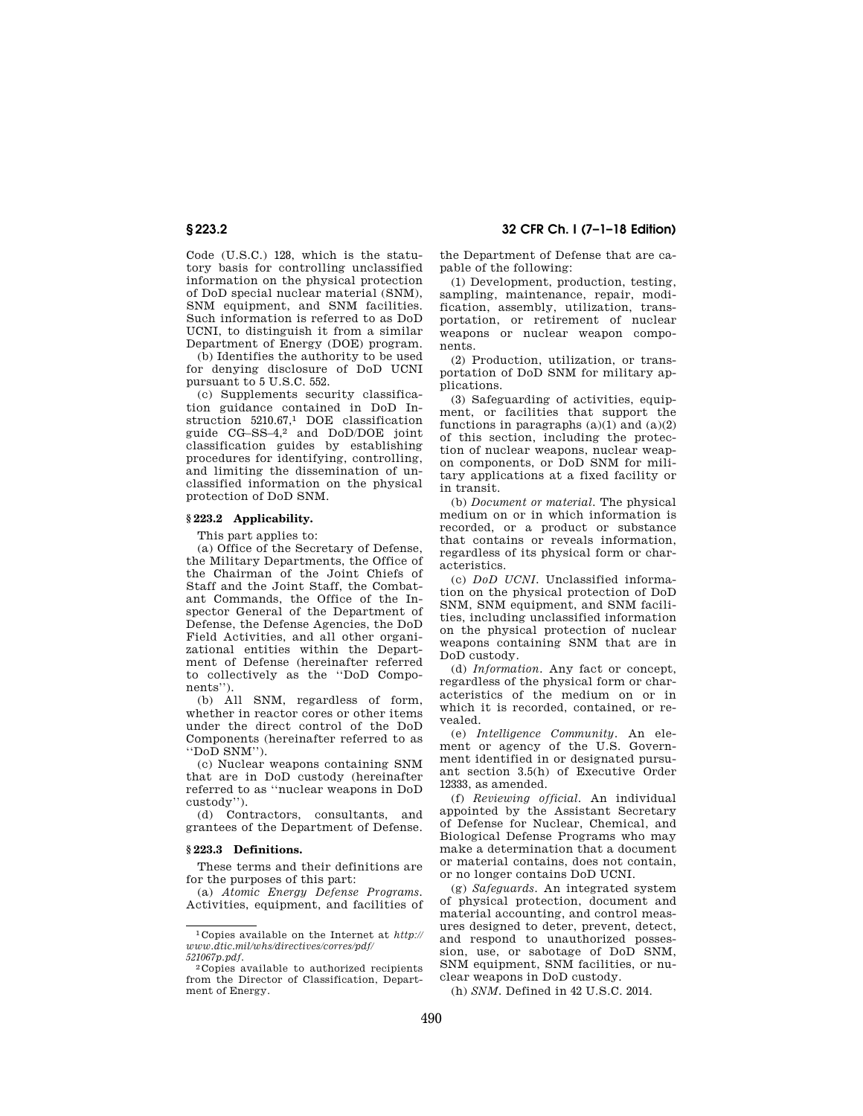Code (U.S.C.) 128, which is the statutory basis for controlling unclassified information on the physical protection of DoD special nuclear material (SNM), SNM equipment, and SNM facilities. Such information is referred to as DoD UCNI, to distinguish it from a similar Department of Energy (DOE) program.

(b) Identifies the authority to be used for denying disclosure of DoD UCNI pursuant to 5 U.S.C. 552.

(c) Supplements security classification guidance contained in DoD Instruction 5210.67,1 DOE classification guide CG–SS–4,2 and DoD/DOE joint classification guides by establishing procedures for identifying, controlling, and limiting the dissemination of unclassified information on the physical protection of DoD SNM.

## **§ 223.2 Applicability.**

This part applies to:

(a) Office of the Secretary of Defense, the Military Departments, the Office of the Chairman of the Joint Chiefs of Staff and the Joint Staff, the Combatant Commands, the Office of the Inspector General of the Department of Defense, the Defense Agencies, the DoD Field Activities, and all other organizational entities within the Department of Defense (hereinafter referred to collectively as the ''DoD Components'').

(b) All SNM, regardless of form, whether in reactor cores or other items under the direct control of the DoD Components (hereinafter referred to as ''DoD SNM'').

(c) Nuclear weapons containing SNM that are in DoD custody (hereinafter referred to as ''nuclear weapons in DoD custody'').

(d) Contractors, consultants, and grantees of the Department of Defense.

### **§ 223.3 Definitions.**

These terms and their definitions are for the purposes of this part:

(a) *Atomic Energy Defense Programs.*  Activities, equipment, and facilities of

**§ 223.2 32 CFR Ch. I (7–1–18 Edition)** 

the Department of Defense that are capable of the following:

(1) Development, production, testing, sampling, maintenance, repair, modification, assembly, utilization, transportation, or retirement of nuclear weapons or nuclear weapon components.

(2) Production, utilization, or transportation of DoD SNM for military applications.

(3) Safeguarding of activities, equipment, or facilities that support the functions in paragraphs  $(a)(1)$  and  $(a)(2)$ of this section, including the protection of nuclear weapons, nuclear weapon components, or DoD SNM for military applications at a fixed facility or in transit.

(b) *Document or material.* The physical medium on or in which information is recorded, or a product or substance that contains or reveals information, regardless of its physical form or characteristics.

(c) *DoD UCNI.* Unclassified information on the physical protection of DoD SNM, SNM equipment, and SNM facilities, including unclassified information on the physical protection of nuclear weapons containing SNM that are in DoD custody.

(d) *Information.* Any fact or concept, regardless of the physical form or characteristics of the medium on or in which it is recorded, contained, or revealed.

(e) *Intelligence Community.* An element or agency of the U.S. Government identified in or designated pursuant section 3.5(h) of Executive Order 12333, as amended.

(f) *Reviewing official.* An individual appointed by the Assistant Secretary of Defense for Nuclear, Chemical, and Biological Defense Programs who may make a determination that a document or material contains, does not contain, or no longer contains DoD UCNI.

(g) *Safeguards.* An integrated system of physical protection, document and material accounting, and control measures designed to deter, prevent, detect, and respond to unauthorized possession, use, or sabotage of DoD SNM, SNM equipment, SNM facilities, or nuclear weapons in DoD custody.

(h) *SNM.* Defined in 42 U.S.C. 2014.

<sup>1</sup> Copies available on the Internet at *http:// www.dtic.mil/whs/directives/corres/pdf/ 521067p.pdf.* 

<sup>2</sup> Copies available to authorized recipients from the Director of Classification, Department of Energy.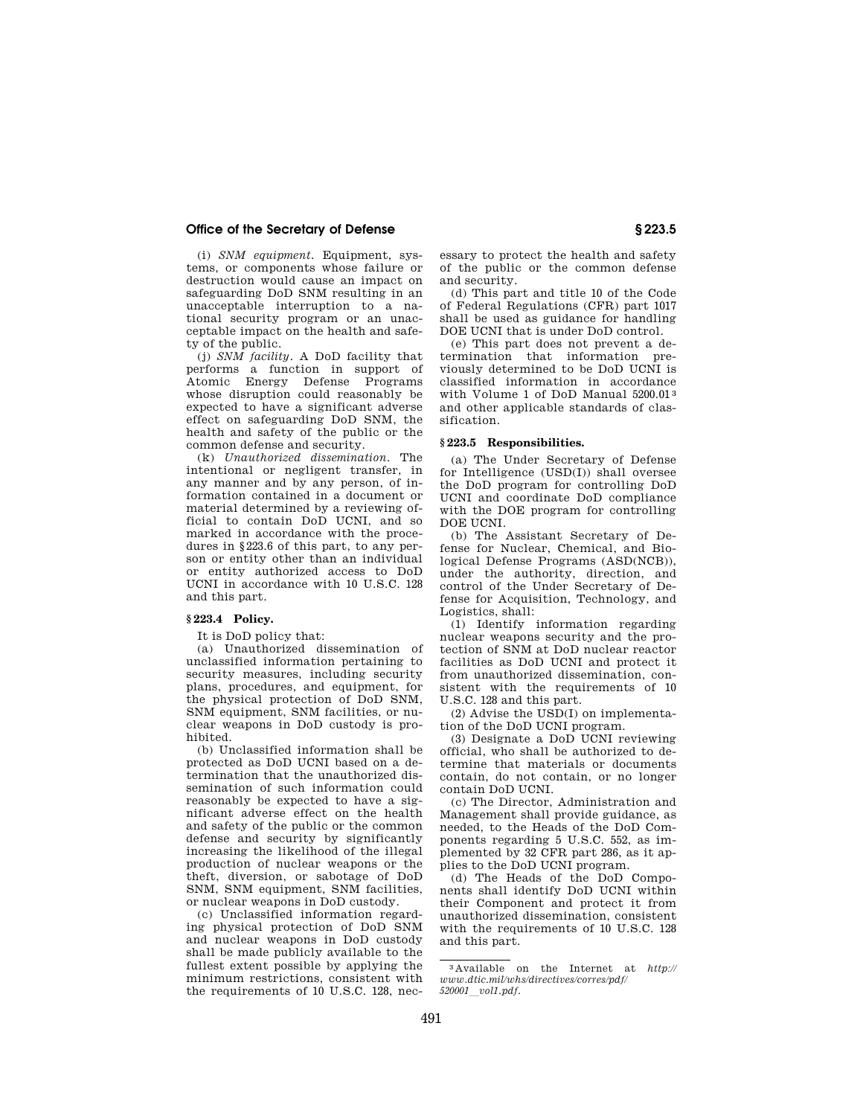(i) *SNM equipment.* Equipment, systems, or components whose failure or destruction would cause an impact on safeguarding DoD SNM resulting in an unacceptable interruption to a national security program or an unacceptable impact on the health and safety of the public.

(j) *SNM facility.* A DoD facility that performs a function in support of Atomic Energy Defense Programs whose disruption could reasonably be expected to have a significant adverse effect on safeguarding DoD SNM, the health and safety of the public or the common defense and security.

(k) *Unauthorized dissemination.* The intentional or negligent transfer, in any manner and by any person, of information contained in a document or material determined by a reviewing official to contain DoD UCNI, and so marked in accordance with the procedures in §223.6 of this part, to any person or entity other than an individual or entity authorized access to DoD UCNI in accordance with 10 U.S.C. 128 and this part.

# **§ 223.4 Policy.**

It is DoD policy that:

(a) Unauthorized dissemination of unclassified information pertaining to security measures, including security plans, procedures, and equipment, for the physical protection of DoD SNM, SNM equipment, SNM facilities, or nuclear weapons in DoD custody is prohibited.

(b) Unclassified information shall be protected as DoD UCNI based on a determination that the unauthorized dissemination of such information could reasonably be expected to have a significant adverse effect on the health and safety of the public or the common defense and security by significantly increasing the likelihood of the illegal production of nuclear weapons or the theft, diversion, or sabotage of DoD SNM, SNM equipment, SNM facilities, or nuclear weapons in DoD custody.

(c) Unclassified information regarding physical protection of DoD SNM and nuclear weapons in DoD custody shall be made publicly available to the fullest extent possible by applying the minimum restrictions, consistent with the requirements of 10 U.S.C. 128, nec-

essary to protect the health and safety of the public or the common defense and security.

(d) This part and title 10 of the Code of Federal Regulations (CFR) part 1017 shall be used as guidance for handling DOE UCNI that is under DoD control.

(e) This part does not prevent a determination that information previously determined to be DoD UCNI is classified information in accordance with Volume 1 of DoD Manual 5200.01 3 and other applicable standards of classification.

#### **§ 223.5 Responsibilities.**

(a) The Under Secretary of Defense for Intelligence (USD(I)) shall oversee the DoD program for controlling DoD UCNI and coordinate DoD compliance with the DOE program for controlling DOE UCNI.

(b) The Assistant Secretary of Defense for Nuclear, Chemical, and Biological Defense Programs (ASD(NCB)), under the authority, direction, and control of the Under Secretary of Defense for Acquisition, Technology, and Logistics, shall:

(1) Identify information regarding nuclear weapons security and the protection of SNM at DoD nuclear reactor facilities as DoD UCNI and protect it from unauthorized dissemination, consistent with the requirements of 10 U.S.C. 128 and this part.

(2) Advise the USD(I) on implementation of the DoD UCNI program.

(3) Designate a DoD UCNI reviewing official, who shall be authorized to determine that materials or documents contain, do not contain, or no longer contain DoD UCNI.

(c) The Director, Administration and Management shall provide guidance, as needed, to the Heads of the DoD Components regarding 5 U.S.C. 552, as implemented by 32 CFR part 286, as it applies to the DoD UCNI program.

(d) The Heads of the DoD Components shall identify DoD UCNI within their Component and protect it from unauthorized dissemination, consistent with the requirements of 10 U.S.C. 128 and this part.

<sup>3</sup> Available on the Internet at *http:// www.dtic.mil/whs/directives/corres/pdf/ <sup>520001</sup>*l*vol1.pdf.*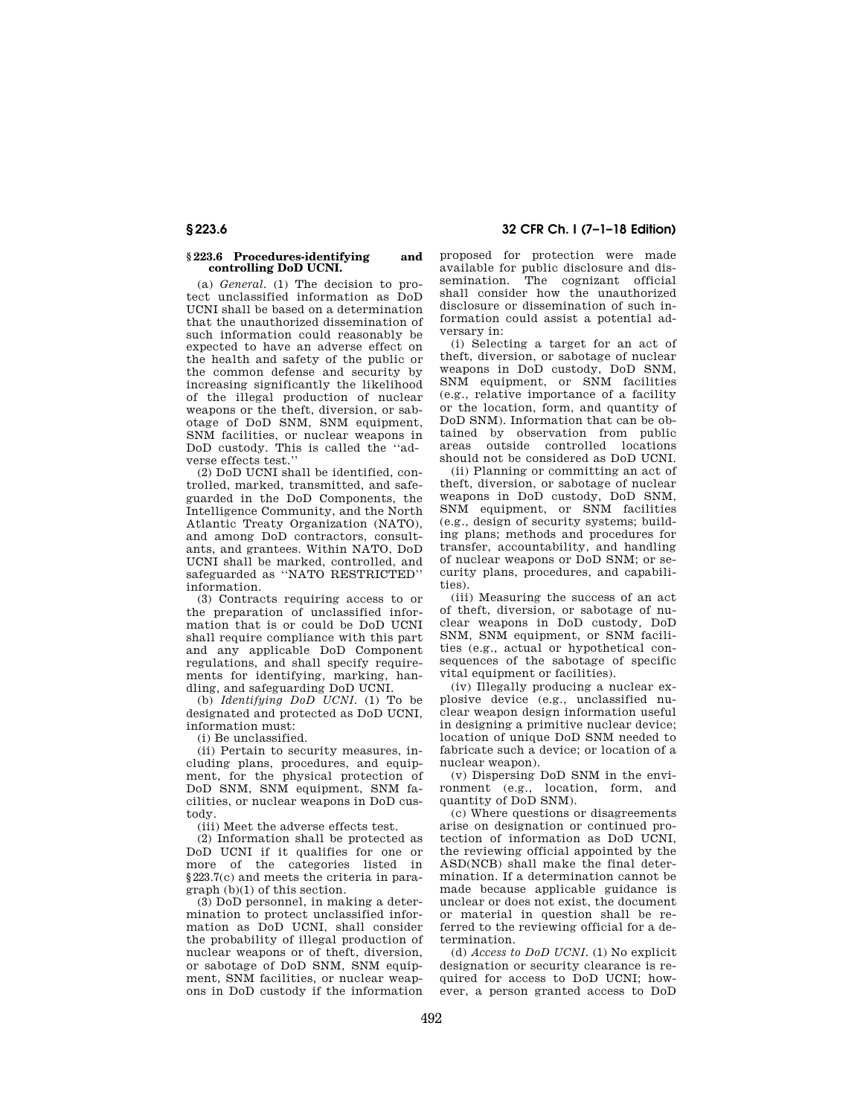# **§ 223.6 32 CFR Ch. I (7–1–18 Edition)**

#### **§ 223.6 Procedures-identifying and controlling DoD UCNI.**

(a) *General.* (1) The decision to protect unclassified information as DoD UCNI shall be based on a determination that the unauthorized dissemination of such information could reasonably be expected to have an adverse effect on the health and safety of the public or the common defense and security by increasing significantly the likelihood of the illegal production of nuclear weapons or the theft, diversion, or sabotage of DoD SNM, SNM equipment, SNM facilities, or nuclear weapons in DoD custody. This is called the ''adverse effects test.''

(2) DoD UCNI shall be identified, controlled, marked, transmitted, and safeguarded in the DoD Components, the Intelligence Community, and the North Atlantic Treaty Organization (NATO), and among DoD contractors, consultants, and grantees. Within NATO, DoD UCNI shall be marked, controlled, and safeguarded as ''NATO RESTRICTED'' information.

(3) Contracts requiring access to or the preparation of unclassified information that is or could be DoD UCNI shall require compliance with this part and any applicable DoD Component regulations, and shall specify requirements for identifying, marking, handling, and safeguarding DoD UCNI.

(b) *Identifying DoD UCNI.* (1) To be designated and protected as DoD UCNI, information must:

(i) Be unclassified.

(ii) Pertain to security measures, including plans, procedures, and equipment, for the physical protection of DoD SNM, SNM equipment, SNM facilities, or nuclear weapons in DoD custody.

(iii) Meet the adverse effects test.

(2) Information shall be protected as DoD UCNI if it qualifies for one or more of the categories listed in §223.7(c) and meets the criteria in paragraph (b)(1) of this section.

(3) DoD personnel, in making a determination to protect unclassified information as DoD UCNI, shall consider the probability of illegal production of nuclear weapons or of theft, diversion, or sabotage of DoD SNM, SNM equipment, SNM facilities, or nuclear weapons in DoD custody if the information

proposed for protection were made available for public disclosure and dissemination. The cognizant official shall consider how the unauthorized disclosure or dissemination of such information could assist a potential adversary in:

(i) Selecting a target for an act of theft, diversion, or sabotage of nuclear weapons in DoD custody, DoD SNM, SNM equipment, or SNM facilities (e.g., relative importance of a facility or the location, form, and quantity of DoD SNM). Information that can be obtained by observation from public areas outside controlled locations should not be considered as DoD UCNI.

(ii) Planning or committing an act of theft, diversion, or sabotage of nuclear weapons in DoD custody, DoD SNM, SNM equipment, or SNM facilities (e.g., design of security systems; building plans; methods and procedures for transfer, accountability, and handling of nuclear weapons or DoD SNM; or security plans, procedures, and capabilities).

(iii) Measuring the success of an act of theft, diversion, or sabotage of nuclear weapons in DoD custody, DoD SNM, SNM equipment, or SNM facilities (e.g., actual or hypothetical consequences of the sabotage of specific vital equipment or facilities).

(iv) Illegally producing a nuclear explosive device (e.g., unclassified nuclear weapon design information useful in designing a primitive nuclear device; location of unique DoD SNM needed to fabricate such a device; or location of a nuclear weapon).

(v) Dispersing DoD SNM in the environment (e.g., location, form, and quantity of DoD SNM).

(c) Where questions or disagreements arise on designation or continued protection of information as DoD UCNI, the reviewing official appointed by the ASD(NCB) shall make the final determination. If a determination cannot be made because applicable guidance is unclear or does not exist, the document or material in question shall be referred to the reviewing official for a determination.

(d) *Access to DoD UCNI.* (1) No explicit designation or security clearance is required for access to DoD UCNI; however, a person granted access to DoD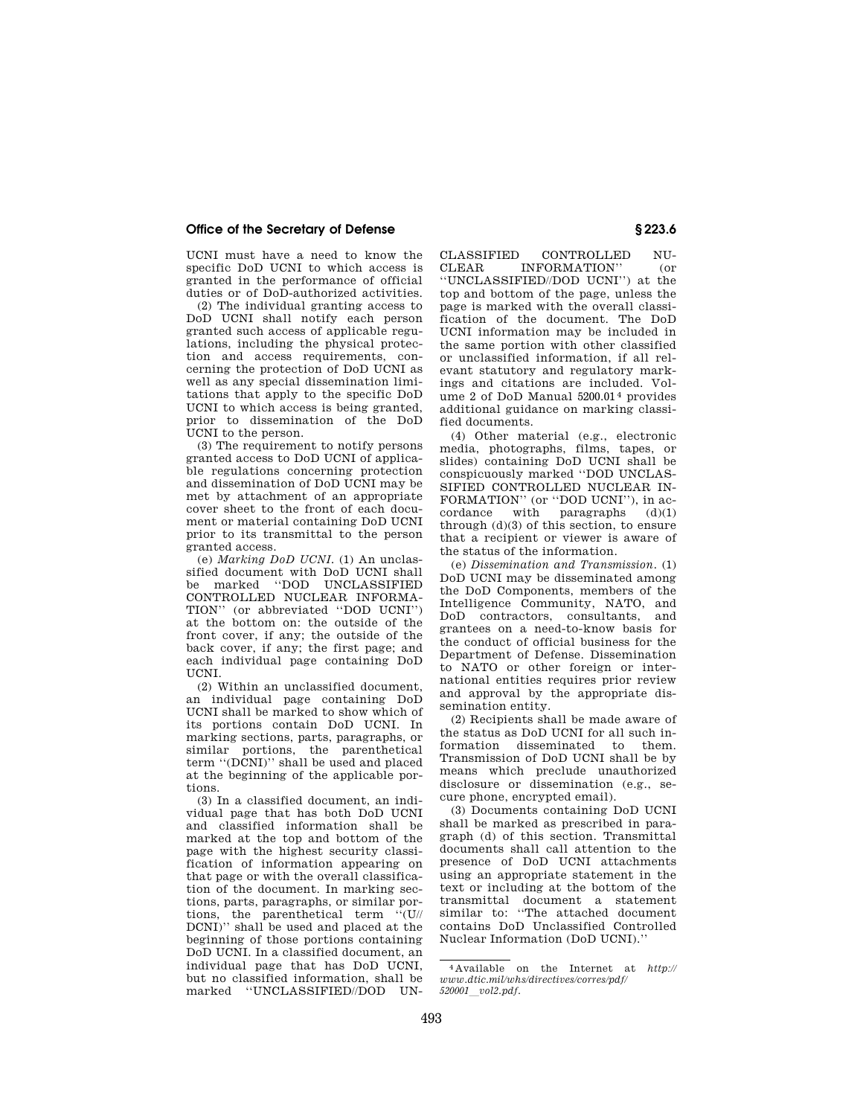UCNI must have a need to know the specific DoD UCNI to which access is granted in the performance of official duties or of DoD-authorized activities.

(2) The individual granting access to DoD UCNI shall notify each person granted such access of applicable regulations, including the physical protection and access requirements, concerning the protection of DoD UCNI as well as any special dissemination limitations that apply to the specific DoD UCNI to which access is being granted, prior to dissemination of the DoD UCNI to the person.

(3) The requirement to notify persons granted access to DoD UCNI of applicable regulations concerning protection and dissemination of DoD UCNI may be met by attachment of an appropriate cover sheet to the front of each document or material containing DoD UCNI prior to its transmittal to the person granted access.

(e) *Marking DoD UCNI.* (1) An unclassified document with DoD UCNI shall be marked ''DOD UNCLASSIFIED CONTROLLED NUCLEAR INFORMA-TION'' (or abbreviated ''DOD UCNI'') at the bottom on: the outside of the front cover, if any; the outside of the back cover, if any; the first page; and each individual page containing DoD **UCNI** 

(2) Within an unclassified document, an individual page containing DoD UCNI shall be marked to show which of its portions contain DoD UCNI. In marking sections, parts, paragraphs, or similar portions, the parenthetical term ''(DCNI)'' shall be used and placed at the beginning of the applicable portions.

(3) In a classified document, an individual page that has both DoD UCNI and classified information shall be marked at the top and bottom of the page with the highest security classification of information appearing on that page or with the overall classification of the document. In marking sections, parts, paragraphs, or similar portions, the parenthetical term ''(U// DCNI)'' shall be used and placed at the beginning of those portions containing DoD UCNI. In a classified document, an individual page that has DoD UCNI, but no classified information, shall be marked ''UNCLASSIFIED//DOD UN-

CLASSIFIED CONTROLLED NU-CLEAR INFORMATION'' (or

''UNCLASSIFIED//DOD UCNI'') at the top and bottom of the page, unless the page is marked with the overall classification of the document. The DoD UCNI information may be included in the same portion with other classified or unclassified information, if all relevant statutory and regulatory markings and citations are included. Volume 2 of DoD Manual 5200.01 4 provides additional guidance on marking classified documents.

(4) Other material (e.g., electronic media, photographs, films, tapes, or slides) containing DoD UCNI shall be conspicuously marked ''DOD UNCLAS-SIFIED CONTROLLED NUCLEAR IN-FORMATION'' (or ''DOD UCNI''), in accordance with paragraphs (d)(1) through (d)(3) of this section, to ensure that a recipient or viewer is aware of the status of the information.

(e) *Dissemination and Transmission.* (1) DoD UCNI may be disseminated among the DoD Components, members of the Intelligence Community, NATO, and DoD contractors, consultants, and grantees on a need-to-know basis for the conduct of official business for the Department of Defense. Dissemination to NATO or other foreign or international entities requires prior review and approval by the appropriate dissemination entity.

(2) Recipients shall be made aware of the status as DoD UCNI for all such information disseminated to them. Transmission of DoD UCNI shall be by means which preclude unauthorized disclosure or dissemination (e.g., secure phone, encrypted email).

(3) Documents containing DoD UCNI shall be marked as prescribed in paragraph (d) of this section. Transmittal documents shall call attention to the presence of DoD UCNI attachments using an appropriate statement in the text or including at the bottom of the transmittal document a statement similar to: ''The attached document contains DoD Unclassified Controlled Nuclear Information (DoD UCNI).''

<sup>4</sup> Available on the Internet at *http:// www.dtic.mil/whs/directives/corres/pdf/ <sup>520001</sup>*l*vol2.pdf.*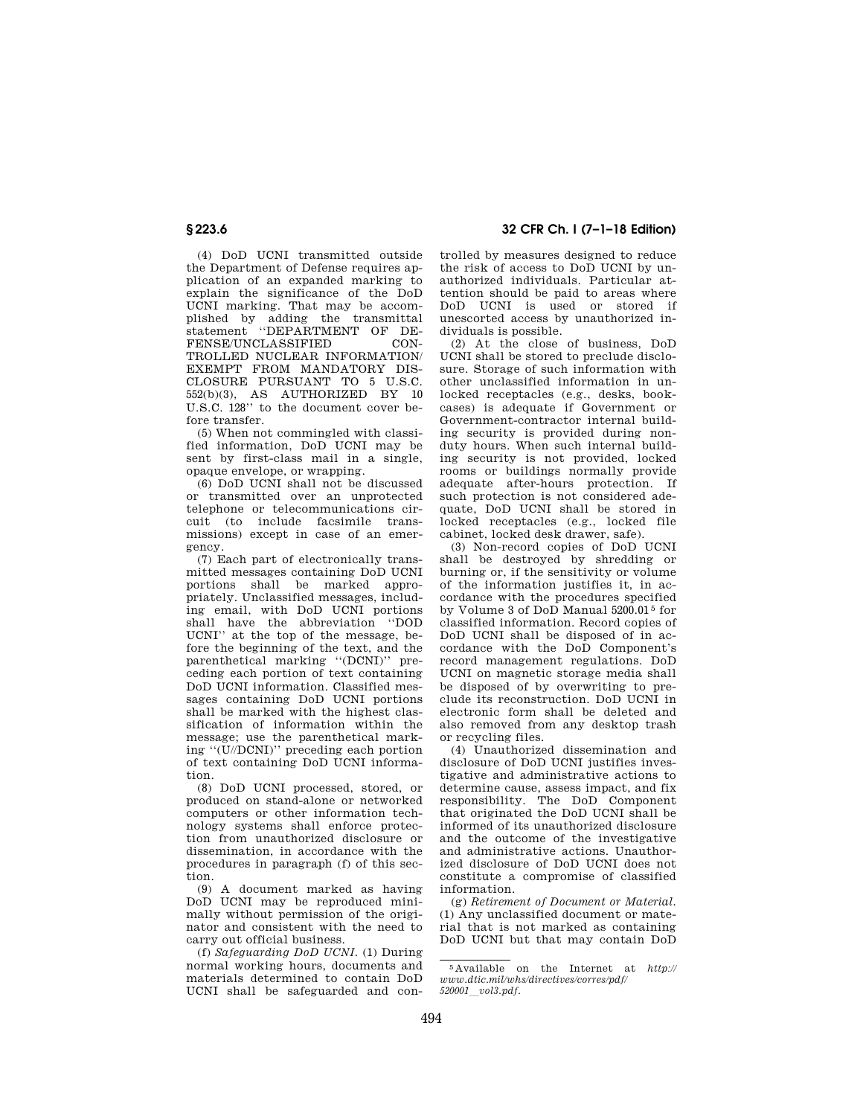(4) DoD UCNI transmitted outside the Department of Defense requires application of an expanded marking to explain the significance of the DoD UCNI marking. That may be accomplished by adding the transmittal statement ''DEPARTMENT OF DE-FENSE/UNCLASSIFIED CON-TROLLED NUCLEAR INFORMATION/ EXEMPT FROM MANDATORY DIS-CLOSURE PURSUANT TO 5 U.S.C. 552(b)(3), AS AUTHORIZED BY 10  $U.S.C. 128$ " to the document cover before transfer.

(5) When not commingled with classified information, DoD UCNI may be sent by first-class mail in a single, opaque envelope, or wrapping.

(6) DoD UCNI shall not be discussed or transmitted over an unprotected telephone or telecommunications circuit (to include facsimile transmissions) except in case of an emergency.

(7) Each part of electronically transmitted messages containing DoD UCNI portions shall be marked appropriately. Unclassified messages, including email, with DoD UCNI portions shall have the abbreviation ''DOD UCNI'' at the top of the message, before the beginning of the text, and the parenthetical marking ''(DCNI)'' preceding each portion of text containing DoD UCNI information. Classified messages containing DoD UCNI portions shall be marked with the highest classification of information within the message; use the parenthetical marking ''(U//DCNI)'' preceding each portion of text containing DoD UCNI information.

(8) DoD UCNI processed, stored, or produced on stand-alone or networked computers or other information technology systems shall enforce protection from unauthorized disclosure or dissemination, in accordance with the procedures in paragraph (f) of this section.

(9) A document marked as having DoD UCNI may be reproduced minimally without permission of the originator and consistent with the need to carry out official business.

(f) *Safeguarding DoD UCNI.* (1) During normal working hours, documents and materials determined to contain DoD UCNI shall be safeguarded and con-

**§ 223.6 32 CFR Ch. I (7–1–18 Edition)** 

trolled by measures designed to reduce the risk of access to DoD UCNI by unauthorized individuals. Particular attention should be paid to areas where DoD UCNI is used or stored if unescorted access by unauthorized individuals is possible.

(2) At the close of business, DoD UCNI shall be stored to preclude disclosure. Storage of such information with other unclassified information in unlocked receptacles (e.g., desks, bookcases) is adequate if Government or Government-contractor internal building security is provided during nonduty hours. When such internal building security is not provided, locked rooms or buildings normally provide adequate after-hours protection. If such protection is not considered adequate, DoD UCNI shall be stored in locked receptacles (e.g., locked file cabinet, locked desk drawer, safe).

(3) Non-record copies of DoD UCNI shall be destroyed by shredding or burning or, if the sensitivity or volume of the information justifies it, in accordance with the procedures specified by Volume 3 of DoD Manual 5200.01 5 for classified information. Record copies of DoD UCNI shall be disposed of in accordance with the DoD Component's record management regulations. DoD UCNI on magnetic storage media shall be disposed of by overwriting to preclude its reconstruction. DoD UCNI in electronic form shall be deleted and also removed from any desktop trash or recycling files.

(4) Unauthorized dissemination and disclosure of DoD UCNI justifies investigative and administrative actions to determine cause, assess impact, and fix responsibility. The DoD Component that originated the DoD UCNI shall be informed of its unauthorized disclosure and the outcome of the investigative and administrative actions. Unauthorized disclosure of DoD UCNI does not constitute a compromise of classified information.

(g) *Retirement of Document or Material.*  (1) Any unclassified document or material that is not marked as containing DoD UCNI but that may contain DoD

<sup>5</sup> Available on the Internet at *http:// www.dtic.mil/whs/directives/corres/pdf/ <sup>520001</sup>*l*vol3.pdf.*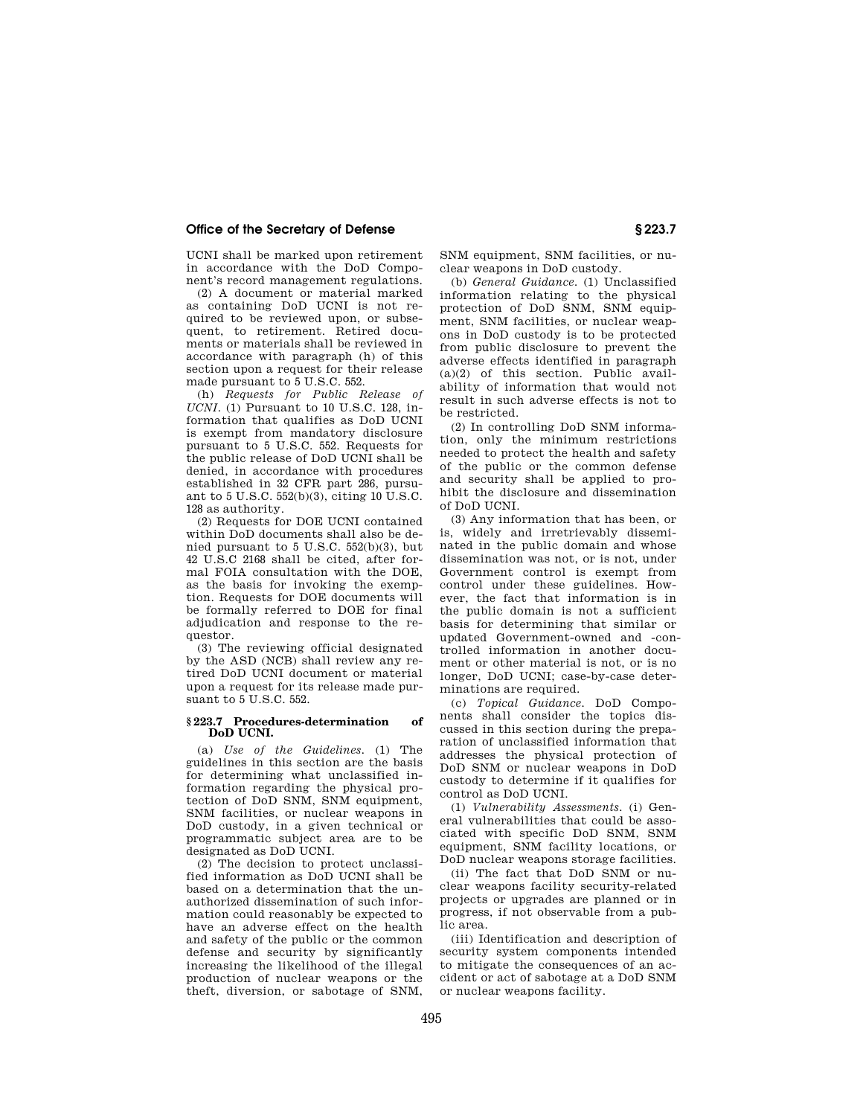UCNI shall be marked upon retirement in accordance with the DoD Component's record management regulations.

(2) A document or material marked as containing DoD UCNI is not required to be reviewed upon, or subsequent, to retirement. Retired documents or materials shall be reviewed in accordance with paragraph (h) of this section upon a request for their release made pursuant to 5 U.S.C. 552.

(h) *Requests for Public Release of UCNI.* (1) Pursuant to 10 U.S.C. 128, information that qualifies as DoD UCNI is exempt from mandatory disclosure pursuant to 5 U.S.C. 552. Requests for the public release of DoD UCNI shall be denied, in accordance with procedures established in 32 CFR part 286, pursuant to 5 U.S.C. 552(b)(3), citing 10 U.S.C. 128 as authority.

(2) Requests for DOE UCNI contained within DoD documents shall also be denied pursuant to 5 U.S.C. 552(b)(3), but 42 U.S.C 2168 shall be cited, after formal FOIA consultation with the DOE, as the basis for invoking the exemption. Requests for DOE documents will be formally referred to DOE for final adjudication and response to the requestor.

(3) The reviewing official designated by the ASD (NCB) shall review any retired DoD UCNI document or material upon a request for its release made pursuant to 5 U.S.C. 552.

#### **§ 223.7 Procedures-determination of DoD UCNI.**

(a) *Use of the Guidelines.* (1) The guidelines in this section are the basis for determining what unclassified information regarding the physical protection of DoD SNM, SNM equipment, SNM facilities, or nuclear weapons in DoD custody, in a given technical or programmatic subject area are to be designated as DoD UCNI.

(2) The decision to protect unclassified information as DoD UCNI shall be based on a determination that the unauthorized dissemination of such information could reasonably be expected to have an adverse effect on the health and safety of the public or the common defense and security by significantly increasing the likelihood of the illegal production of nuclear weapons or the theft, diversion, or sabotage of SNM, SNM equipment, SNM facilities, or nuclear weapons in DoD custody.

(b) *General Guidance.* (1) Unclassified information relating to the physical protection of DoD SNM, SNM equipment, SNM facilities, or nuclear weapons in DoD custody is to be protected from public disclosure to prevent the adverse effects identified in paragraph (a)(2) of this section. Public availability of information that would not result in such adverse effects is not to be restricted.

(2) In controlling DoD SNM information, only the minimum restrictions needed to protect the health and safety of the public or the common defense and security shall be applied to prohibit the disclosure and dissemination of DoD UCNI.

(3) Any information that has been, or is, widely and irretrievably disseminated in the public domain and whose dissemination was not, or is not, under Government control is exempt from control under these guidelines. However, the fact that information is in the public domain is not a sufficient basis for determining that similar or updated Government-owned and -controlled information in another document or other material is not, or is no longer, DoD UCNI; case-by-case determinations are required.

(c) *Topical Guidance.* DoD Components shall consider the topics discussed in this section during the preparation of unclassified information that addresses the physical protection of DoD SNM or nuclear weapons in DoD custody to determine if it qualifies for control as DoD UCNI.

(1) *Vulnerability Assessments.* (i) General vulnerabilities that could be associated with specific DoD SNM, SNM equipment, SNM facility locations, or DoD nuclear weapons storage facilities.

(ii) The fact that DoD SNM or nuclear weapons facility security-related projects or upgrades are planned or in progress, if not observable from a public area.

(iii) Identification and description of security system components intended to mitigate the consequences of an accident or act of sabotage at a DoD SNM or nuclear weapons facility.